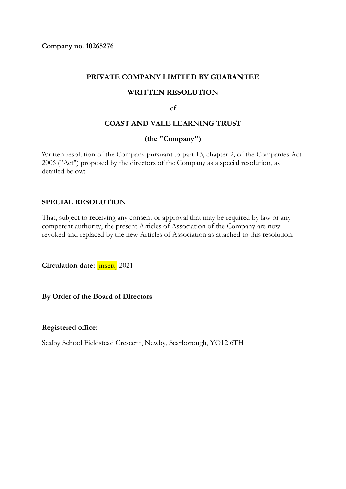**Company no. 10265276**

#### **PRIVATE COMPANY LIMITED BY GUARANTEE**

#### **WRITTEN RESOLUTION**

of

### **COAST AND VALE LEARNING TRUST**

## **(the "Company")**

Written resolution of the Company pursuant to part 13, chapter 2, of the Companies Act 2006 ("Act") proposed by the directors of the Company as a special resolution, as detailed below:

## **SPECIAL RESOLUTION**

That, subject to receiving any consent or approval that may be required by law or any competent authority, the present Articles of Association of the Company are now revoked and replaced by the new Articles of Association as attached to this resolution.

**Circulation date:** [insert] 2021

**By Order of the Board of Directors**

#### **Registered office:**

Scalby School Fieldstead Crescent, Newby, Scarborough, YO12 6TH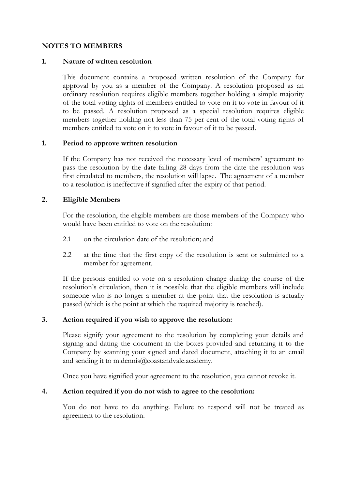## **NOTES TO MEMBERS**

#### **1. Nature of written resolution**

This document contains a proposed written resolution of the Company for approval by you as a member of the Company. A resolution proposed as an ordinary resolution requires eligible members together holding a simple majority of the total voting rights of members entitled to vote on it to vote in favour of it to be passed. A resolution proposed as a special resolution requires eligible members together holding not less than 75 per cent of the total voting rights of members entitled to vote on it to vote in favour of it to be passed.

#### **1. Period to approve written resolution**

If the Company has not received the necessary level of members' agreement to pass the resolution by the date falling 28 days from the date the resolution was first circulated to members, the resolution will lapse. The agreement of a member to a resolution is ineffective if signified after the expiry of that period.

#### **2. Eligible Members**

For the resolution, the eligible members are those members of the Company who would have been entitled to vote on the resolution:

- 2.1 on the circulation date of the resolution; and
- 2.2 at the time that the first copy of the resolution is sent or submitted to a member for agreement.

If the persons entitled to vote on a resolution change during the course of the resolution's circulation, then it is possible that the eligible members will include someone who is no longer a member at the point that the resolution is actually passed (which is the point at which the required majority is reached).

## **3. Action required if you wish to approve the resolution:**

Please signify your agreement to the resolution by completing your details and signing and dating the document in the boxes provided and returning it to the Company by scanning your signed and dated document, attaching it to an email and sending it to m.dennis@coastandvale.academy.

Once you have signified your agreement to the resolution, you cannot revoke it.

### **4. Action required if you do not wish to agree to the resolution:**

You do not have to do anything. Failure to respond will not be treated as agreement to the resolution.